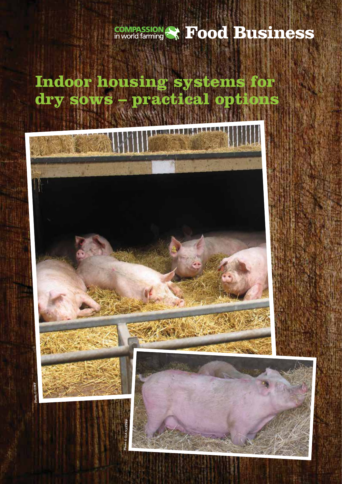# **COMPASSION & Food Business**

## **Indoor housing systems for dry sows – practical options**

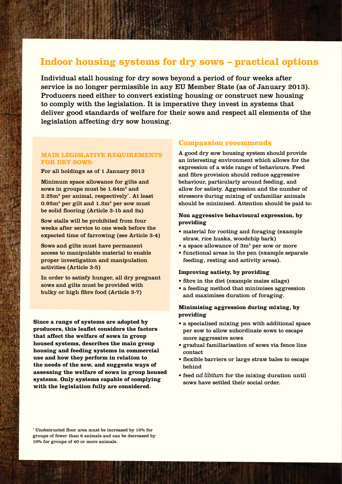### **Indoor housing systems for dry sows – practical options**

Individual stall housing for dry sows beyond a period of four weeks after service is no longer permissible in any EU Member State (as of January 2013). Producers need either to convert existing housing or construct new housing to comply with the legislation. It is imperative they invest in systems that deliver good standards of welfare for their sows and respect all elements of the legislation affecting dry sow housing.

#### **MAIN LEGISLATIVE REQUIREMENTS FOR DRY SOWS:**

For all holdings as of 1 January 2013

Minimum space allowance for gilts and sows in groups must be 1.64m<sup>2</sup> and 2.25m<sup>2</sup> per animal, respectively<sup>\*</sup>. At least  $0.95m<sup>2</sup>$  per gilt and  $1.3m<sup>2</sup>$  per sow must be solid flooring (Article 3-1b and 2a)

Sow stalls will be prohibited from four weeks after service to one week before the expected time of farrowing (see Article 3-4)

Sows and gilts must have permanent access to manipulable material to enable proper investigation and manipulation activities (Article 3-5)

In order to satisfy hunger, all dry pregnant sows and gilts must be provided with bulky or high fibre food (Article 3-7)

**Since a range of systems are adopted by producers, this leaflet considers the factors that affect the welfare of sows in group housed systems, describes the main group housing and feeding systems in commercial use and how they perform in relation to the needs of the sow, and suggests ways of assessing the welfare of sows in group housed systems. Only systems capable of complying with the legislation fully are considered.**

#### **Compassion recommends**

A good dry sow housing system should provide an interesting environment which allows for the expression of a wide range of behaviours. Feed and fibre provision should reduce aggressive behaviour, particularly around feeding, and allow for satiety. Aggression and the number of stressors during mixing of unfamiliar animals should be minimised. Attention should be paid to:

#### **Non aggressive behavioural expression, by providing**

- material for rooting and foraging (example straw, rice husks, woodchip bark)
- a space allowance of 3m<sup>2</sup> per sow or more
- functional areas in the pen (example separate feeding, resting and activity areas).

#### **Improving satiety, by providing**

- fibre in the diet (example maize silage)
- a feeding method that minimises aggression and maximises duration of foraging.

#### **Minimising aggression during mixing, by providing**

- a specialised mixing pen with additional space per sow to allow subordinate sows to escape more aggressive sows
- gradual familiarisation of sows via fence line contact
- flexible barriers or large straw bales to escape behind
- feed *ad libitum* for the mixing duration until sows have settled their social order.

\* Unobstructed floor area must be increased by 10% for groups of fewer than 6 animals and can be decreased by 10% for groups of 40 or more animals.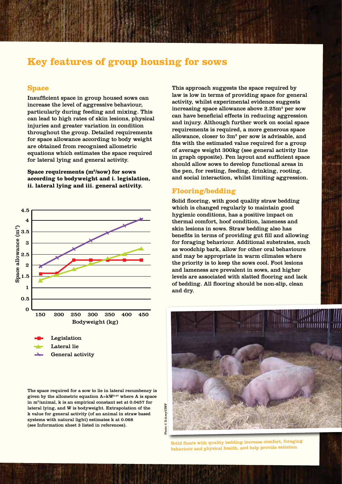## **Key features of group housing for sows**

#### **Space**

Insufficient space in group housed sows can increase the level of aggressive behaviour, particularly during feeding and mixing. This can lead to high rates of skin lesions, physical injuries and greater variation in condition throughout the group. Detailed requirements for space allowance according to body weight are obtained from recognised allometric equations which estimates the space required for lateral lying and general activity.

**Space requirements (m2/sow) for sows according to bodyweight and i. legislation, ii. lateral lying and iii. general activity.**



The space required for a sow to lie in lateral recumbency is given by the allometric equation A=kW0.67 where A is space in m<sup>2</sup>/animal,  $k$  is an empirical constant set at 0.0457 for lateral lying, and W is bodyweight. Extrapolation of the k value for general activity (of an animal in straw based systems with natural light) estimates k at 0.068 (see Information sheet 3 listed in references).

This approach suggests the space required by law is low in terms of providing space for general activity, whilst experimental evidence suggests increasing space allowance above 2.25m<sup>2</sup> per sow can have beneficial effects in reducing aggression and injury. Although further work on social space requirements is required, a more generous space allowance, closer to 3m2 per sow is advisable, and fits with the estimated value required for a group of average weight 300kg (see general activity line in graph opposite). Pen layout and sufficient space should allow sows to develop functional areas in the pen, for resting, feeding, drinking, rooting, and social interaction, whilst limiting aggression.

#### **Flooring/bedding**

Solid flooring, with good quality straw bedding which is changed regularly to maintain good hygienic conditions, has a positive impact on thermal comfort, hoof condition, lameness and skin lesions in sows. Straw bedding also has benefits in terms of providing gut fill and allowing for foraging behaviour. Additional substrates, such as woodchip bark, allow for other oral behaviours and may be appropriate in warm climates where the priority is to keep the sows cool. Foot lesions and lameness are prevalent in sows, and higher levels are associated with slatted flooring and lack of bedding. All flooring should be non-slip, clean and dry.



Solid floors with quality bedding increase comfort, foraging behaviour and physical health, and help provide satiation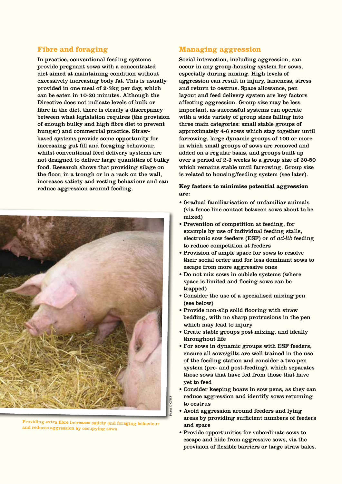#### **Fibre and foraging**

In practice, conventional feeding systems provide pregnant sows with a concentrated diet aimed at maintaining condition without excessively increasing body fat. This is usually provided in one meal of 2-3kg per day, which can be eaten in 10-20 minutes. Although the Directive does not indicate levels of bulk or fibre in the diet, there is clearly a discrepancy between what legislation requires (the provision of enough bulky and high fibre diet to prevent hunger) and commercial practice. Strawbased systems provide some opportunity for increasing gut fill and foraging behaviour, whilst conventional feed delivery systems are not designed to deliver large quantities of bulky food. Research shows that providing silage on the floor, in a trough or in a rack on the wall, increases satiety and resting behaviour and can reduce aggression around feeding.



Providing extra fibre increases satiety and foraging behaviour and reduces aggression by occupying sows

#### **Managing aggression**

Social interaction, including aggression, can occur in any group-housing system for sows, especially during mixing. High levels of aggression can result in injury, lameness, stress and return to oestrus. Space allowance, pen layout and feed delivery system are key factors affecting aggression. Group size may be less important, as successful systems can operate with a wide variety of group sizes falling into three main categories: small stable groups of approximately 4-6 sows which stay together until farrowing, large dynamic groups of 100 or more in which small groups of sows are removed and added on a regular basis, and groups built up over a period of 2-3 weeks to a group size of 30-50 which remains stable until farrowing. Group size is related to housing/feeding system (see later).

#### **Key factors to minimise potential aggression are:**

- Gradual familiarisation of unfamiliar animals (via fence line contact between sows about to be mixed)
- Prevention of competition at feeding, for example by use of individual feeding stalls, electronic sow feeders (ESF) or of *ad-lib* feeding to reduce competition at feeders
- Provision of ample space for sows to resolve their social order and for less dominant sows to escape from more aggressive ones
- Do not mix sows in cubicle systems (where space is limited and fleeing sows can be trapped)
- Consider the use of a specialised mixing pen (see below)
- Provide non-slip solid flooring with straw bedding, with no sharp protrusions in the pen which may lead to injury
- Create stable groups post mixing, and ideally throughout life
- For sows in dynamic groups with ESF feeders, ensure all sows/gilts are well trained in the use of the feeding station and consider a two-pen system (pre- and post-feeding), which separates those sows that have fed from those that have yet to feed
- Consider keeping boars in sow pens, as they can reduce aggression and identify sows returning to oestrus
- Avoid aggression around feeders and lying areas by providing sufficient numbers of feeders and space
- Provide opportunities for subordinate sows to escape and hide from aggressive sows, via the provision of flexible barriers or large straw bales.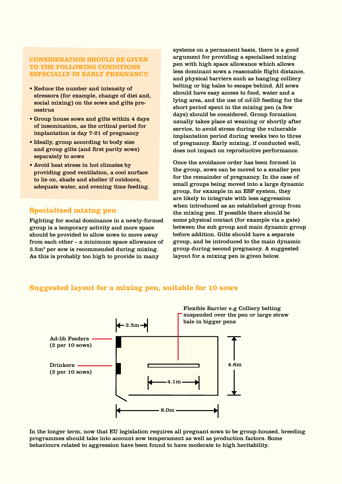#### **CONSIDERATION SHOULD BE GIVEN TO THE FOLLOWING CONDITIONS ESPECIALLY IN EARLY PREGNANCY:**

- Reduce the number and intensity of stressors (for example, change of diet and, social mixing) on the sows and gilts preoestrus
- Group house sows and gilts within 4 days of insemination, as the critical period for implantation is day 7-21 of pregnancy
- Ideally, group according to body size and group gilts (and first parity sows) separately to sows
- Avoid heat stress in hot climates by providing good ventilation, a cool surface to lie on, shade and shelter if outdoors, adequate water, and evening time feeding.

#### **Specialised mixing pen**

Fighting for social dominance in a newly-formed group is a temporary activity and more space should be provided to allow sows to move away from each other – a minimum space allowance of 3.5m2 per sow is recommended during mixing. As this is probably too high to provide in many

systems on a permanent basis, there is a good argument for providing a specialised mixing pen with high space allowance which allows less dominant sows a reasonable flight distance, and physical barriers such as hanging colliery belting or big bales to escape behind. All sows should have easy access to food, water and a lying area, and the use of *ad-lib* feeding for the short period spent in the mixing pen (a few days) should be considered. Group formation usually takes place at weaning or shortly after service, to avoid stress during the vulnerable implantation period during weeks two to three of pregnancy. Early mixing, if conducted well, does not impact on reproductive performance.

Once the avoidance order has been formed in the group, sows can be moved to a smaller pen for the remainder of pregnancy. In the case of small groups being moved into a large dynamic group, for example in an ESF system, they are likely to integrate with less aggression when introduced as an established group from the mixing pen. If possible there should be some physical contact (for example via a gate) between the sub group and main dynamic group before addition. Gilts should have a separate group, and be introduced to the main dynamic group during second pregnancy. A suggested layout for a mixing pen is given below.

#### **Suggested layout for a mixing pen, suitable for 10 sows**



In the longer term, now that EU legislation requires all pregnant sows to be group-housed, breeding programmes should take into account sow temperament as well as production factors. Some behaviours related to aggression have been found to have moderate to high heritability.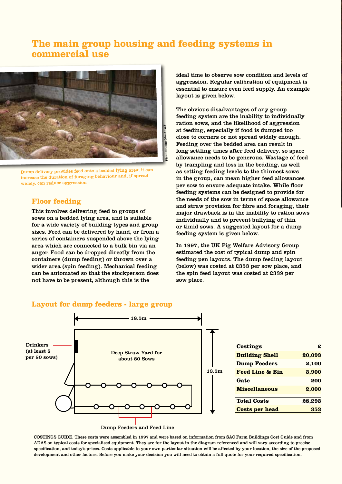### **The main group housing and feeding systems in commercial use**



Dump delivery provides feed onto a bedded lying area; it can increase the duration of foraging behaviour and, if spread widely, can reduce aggression

#### **Floor feeding**

This involves delivering feed to groups of sows on a bedded lying area, and is suitable for a wide variety of building types and group sizes. Feed can be delivered by hand, or from a series of containers suspended above the lying area which are connected to a bulk bin via an auger. Food can be dropped directly from the containers (dump feeding) or thrown over a wider area (spin feeding). Mechanical feeding can be automated so that the stockperson does not have to be present, although this is the

ideal time to observe sow condition and levels of aggression. Regular calibration of equipment is essential to ensure even feed supply. An example layout is given below.

The obvious disadvantages of any group feeding system are the inability to individually ration sows, and the likelihood of aggression at feeding, especially if food is dumped too close to corners or not spread widely enough. Feeding over the bedded area can result in long settling times after feed delivery, so space allowance needs to be generous. Wastage of feed by trampling and loss in the bedding, as well as setting feeding levels to the thinnest sows in the group, can mean higher feed allowances per sow to ensure adequate intake. While floor feeding systems can be designed to provide for the needs of the sow in terms of space allowance and straw provision for fibre and foraging, their major drawback is in the inability to ration sows individually and to prevent bullying of thin or timid sows. A suggested layout for a dump feeding system is given below.

In 1997, the UK Pig Welfare Advisory Group estimated the cost of typical dump and spin feeding pen layouts. The dump feeding layout (below) was costed at £353 per sow place, and the spin feed layout was costed at £339 per sow place.

#### **Layout for dump feeders - large group**



Dump Feeders and Feed Line

Costings guide. These costs were assembled in 1997 and were based on information from SAC Farm Buildings Cost Guide and from ADAS on typical costs for specialised equipment. They are for the layout in the diagram referenced and will vary according to precise specification, and today's prices. Costs applicable to your own particular situation will be affected by your location, the size of the proposed development and other factors. Before you make your decision you will need to obtain a full quote for your required specification.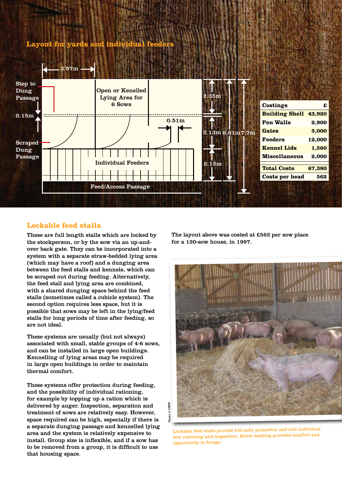#### **Layout for yards and individual feeders**



#### **Lockable feed stalls**

These are full length stalls which are locked by the stockperson, or by the sow via an up-andover back gate. They can be incorporated into a system with a separate straw-bedded lying area (which may have a roof) and a dunging area between the feed stalls and kennels, which can be scraped out during feeding. Alternatively, the feed stall and lying area are combined, with a shared dunging space behind the feed stalls (sometimes called a cubicle system). The second option requires less space, but it is possible that sows may be left in the lying/feed stalls for long periods of time after feeding, so are not ideal.

These systems are usually (but not always) associated with small, stable groups of 4-6 sows, and can be installed in large open buildings. Kennelling of lying areas may be required in large open buildings in order to maintain thermal comfort.

These systems offer protection during feeding, and the possibility of individual rationing, for example by topping up a ration which is delivered by auger. Inspection, separation and treatment of sows are relatively easy. However, space required can be high, especially if there is a separate dunging passage and kennelled lying area and the system is relatively expensive to install. Group size is inflexible, and if a sow has to be removed from a group, it is difficult to use that housing space.

The layout above was costed at £562 per sow place for a 120-sow house, in 1997.



Lockable feed stalls provide full body protection and suit individual sow rationing and inspection. Straw bedding provides comfort and opportunity to forage.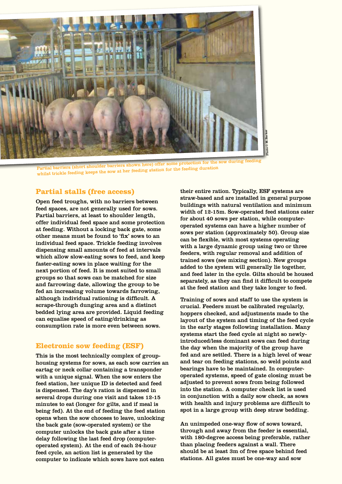

Partial barriers (short shoulder barriers shown here) offer some protection for the sow during whilst trickle feeding keeps the sow at her feeding station for the feeding duration

#### **Partial stalls (free access)**

Open feed troughs, with no barriers between feed spaces, are not generally used for sows. Partial barriers, at least to shoulder length, offer individual feed space and some protection at feeding. Without a locking back gate, some other means must be found to 'fix' sows to an individual feed space. Trickle feeding involves dispensing small amounts of feed at intervals which allow slow-eating sows to feed, and keep faster-eating sows in place waiting for the next portion of feed. It is most suited to small groups so that sows can be matched for size and farrowing date, allowing the group to be fed an increasing volume towards farrowing, although individual rationing is difficult. A scrape-through dunging area and a distinct bedded lying area are provided. Liquid feeding can equalise speed of eating/drinking as consumption rate is more even between sows.

#### **Electronic sow feeding (ESF)**

This is the most technically complex of grouphousing systems for sows, as each sow carries an eartag or neck collar containing a transponder with a unique signal. When the sow enters the feed station, her unique ID is detected and feed is dispensed. The day's ration is dispensed in several drops during one visit and takes 12-15 minutes to eat (longer for gilts, and if meal is being fed). At the end of feeding the feed station opens when the sow chooses to leave, unlocking the back gate (sow-operated system) or the computer unlocks the back gate after a time delay following the last feed drop (computeroperated system). At the end of each 24-hour feed cycle, an action list is generated by the computer to indicate which sows have not eaten

their entire ration. Typically, ESF systems are straw-based and are installed in general purpose buildings with natural ventilation and minimum width of 12-15m. Sow-operated feed stations cater for about 40 sows per station, while computeroperated systems can have a higher number of sows per station (approximately 50). Group size can be flexible, with most systems operating with a large dynamic group using two or three feeders, with regular removal and addition of trained sows (see mixing section). New groups added to the system will generally lie together, and feed later in the cycle. Gilts should be housed separately, as they can find it difficult to compete at the feed station and they take longer to feed.

Training of sows and staff to use the system is crucial. Feeders must be calibrated regularly, hoppers checked, and adjustments made to the layout of the system and timing of the feed cycle in the early stages following installation. Many systems start the feed cycle at night so newlyintroduced/less dominant sows can feed during the day when the majority of the group have fed and are settled. There is a high level of wear and tear on feeding stations, so weld points and bearings have to be maintained. In computeroperated systems, speed of gate closing must be adjusted to prevent sows from being followed into the station. A computer check list is used in conjunction with a daily sow check, as sows with health and injury problems are difficult to spot in a large group with deep straw bedding.

An unimpeded one-way flow of sows toward, through and away from the feeder is essential, with 180-degree access being preferable, rather than placing feeders against a wall. There should be at least 3m of free space behind feed stations. All gates must be one-way and sow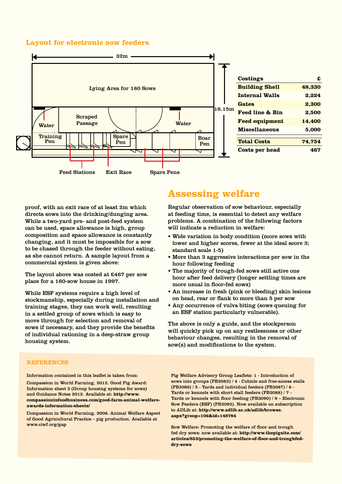#### **Layout for electronic sow feeders**



proof, with an exit race of at least 2m which directs sows into the drinking/dunging area. While a two-yard pre- and post-feed system can be used, space allowance is high, group composition and space allowance is constantly changing, and it must be impossible for a sow to be chased through the feeder without eating, as she cannot return. A sample layout from a commercial system is given above:

The layout above was costed at £467 per sow place for a 160-sow house in 1997.

While ESF systems require a high level of stockmanship, especially during installation and training stages, they can work well, resulting in a settled group of sows which is easy to move through for selection and removal of sows if necessary, and they provide the benefits of individual rationing in a deep-straw group housing system.

## **Assessing welfare**

Regular observation of sow behaviour, especially at feeding time, is essential to detect any welfare problems. A combination of the following factors will indicate a reduction in welfare:

- Wide variation in body condition (more sows with lower and higher scores, fewer at the ideal score 3; standard scale 1-5)
- More than 3 aggressive interactions per sow in the hour following feeding
- The majority of trough-fed sows still active one hour after feed delivery (longer settling times are more usual in floor-fed sows)
- An increase in fresh (pink or bleeding) skin lesions on head, rear or flank to more than 5 per sow
- Any occurrence of vulva biting (sows queuing for an ESF station particularly vulnerable).

The above is only a guide, and the stockperson will quickly pick up on any restlessness or other behaviour changes, resulting in the removal of sow(s) and modifications to the system.

#### **REFERENCES**

Information contained in this leaflet is taken from:

Compassion in World Farming, 2012. Good Pig Award: Information sheet 3 (Group housing systems for sows) and Guidance Notes 2012. Available at: **http://www. compassioninfoodbusiness.com/good-farm-animal-welfareawards-information-sheets/**

Compassion in World Farming, 2006. Animal Welfare Aspect of Good Agricultural Practice – pig production. Available at www.ciwf.org/gap

Pig Welfare Advisory Group Leaflets: 1 - Introduction of sows into groups (PB3083) / 4 - Cubicle and free-access stalls (PB3086) / 5 - Yards and individual feeders (PB3087) / 6 - Yards or kennels with short stall feeders (PB3088) / 7 -Yards or kennels with floor feeding (PB3090) / 9 – Electronic Sow Feeders (ESF) (PB3092). Now available on subscription to ADLib at: **http://www.adlib.ac.uk/adlib/browse. aspx?group=106&id=148784**

Sow Welfare: Promoting the welfare of floor and trough fed dry sows: now available at: **http://www.thepigsite.com/ articles/853/promoting-the-welfare-of-floor-and-troughfeddry-sows**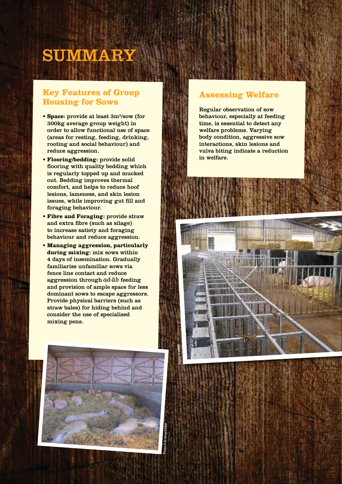## SUMMARY

### **Key Features of Group Housing for Sows**

- **Space:** provide at least 3m2/sow (for 300kg average group weight) in order to allow functional use of space (areas for resting, feeding, drinking, rooting and social behaviour) and reduce aggression.
- **Flooring/bedding:** provide solid flooring with quality bedding which is regularly topped up and mucked out. Bedding improves thermal comfort, and helps to reduce hoof lesions, lameness, and skin lesion issues, while improving gut fill and foraging behaviour.
- **Fibre and Foraging:** provide straw and extra fibre (such as silage) to increase satiety and foraging behaviour and reduce aggression.
- **Managing aggression, particularly during mixing:** mix sows within 4 days of insemination. Gradually familiarise unfamiliar sows via fence line contact and reduce aggression through *ad-lib* feeding and provision of ample space for less dominant sows to escape aggressors. Provide physical barriers (such as straw bales) for hiding behind and consider the use of specialised mixing pens.



#### **Assessing Welfare**

Regular observation of sow behaviour, especially at feeding time, is essential to detect any welfare problems. Varying body condition, aggressive sow interactions, skin lesions and vulva biting indicate a reduction in welfare.

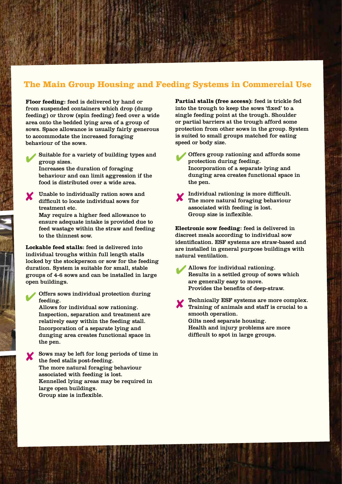### **The Main Group Housing and Feeding Systems in Commercial Use**

**Floor feeding:** feed is delivered by hand or from suspended containers which drop (dump feeding) or throw (spin feeding) feed over a wide area onto the bedded lying area of a group of sows. Space allowance is usually fairly generous to accommodate the increased foraging behaviour of the sows.



Increases the duration of foraging behaviour and can limit aggression if the food is distributed over a wide area.

Unable to individually ration sows and difficult to locate individual sows for treatment etc. X

> May require a higher feed allowance to ensure adequate intake is provided due to feed wastage within the straw and feeding to the thinnest sow.

**Lockable feed stalls:** feed is delivered into individual troughs within full length stalls locked by the stockperson or sow for the feeding duration. System is suitable for small, stable groups of 4-6 sows and can be installed in large open buildings.

Offers sows individual protection during feeding.  $\checkmark$ 

> Allows for individual sow rationing. Inspection, separation and treatment are relatively easy within the feeding stall. Incorporation of a separate lying and dunging area creates functional space in the pen.

Sows may be left for long periods of time in the feed stalls post-feeding. The more natural foraging behaviour associated with feeding is lost. Kennelled lying areas may be required in large open buildings. Group size is inflexible. X

**Partial stalls (free access):** feed is trickle fed into the trough to keep the sows 'fixed' to a single feeding point at the trough. Shoulder or partial barriers at the trough afford some protection from other sows in the group. System is suited to small groups matched for eating speed or body size.

Offers group rationing and affords some protection during feeding. Incorporation of a separate lying and dunging area creates functional space in the pen.  $\checkmark$ 



X

X

The more natural foraging behaviour associated with feeding is lost. Group size is inflexible.

**Electronic sow feeding**: feed is delivered in discreet meals according to individual sow identification. ESF systems are straw-based and are installed in general purpose buildings with natural ventilation.

Allows for individual rationing. Results in a settled group of sows which are generally easy to move. Provides the benefits of deep-straw.  $\checkmark$ 

Technically ESF systems are more complex. Training of animals and staff is crucial to a smooth operation. Gilts need separate housing. Health and injury problems are more difficult to spot in large groups.